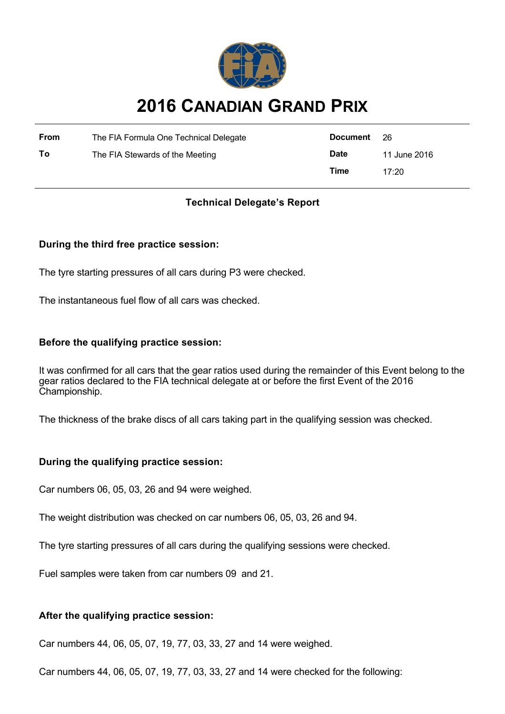

# **2016 CANADIAN GRAND PRIX**

| <b>From</b> | The FIA Formula One Technical Delegate | Document 26 |              |
|-------------|----------------------------------------|-------------|--------------|
| То          | The FIA Stewards of the Meeting        | <b>Date</b> | 11 June 2016 |
|             |                                        | Time        | 17:20        |

# **Technical Delegate's Report**

## **During the third free practice session:**

The tyre starting pressures of all cars during P3 were checked.

The instantaneous fuel flow of all cars was checked.

### **Before the qualifying practice session:**

It was confirmed for all cars that the gear ratios used during the remainder of this Event belong to the gear ratios declared to the FIA technical delegate at or before the first Event of the 2016 Championship.

The thickness of the brake discs of all cars taking part in the qualifying session was checked.

#### **During the qualifying practice session:**

Car numbers 06, 05, 03, 26 and 94 were weighed.

The weight distribution was checked on car numbers 06, 05, 03, 26 and 94.

The tyre starting pressures of all cars during the qualifying sessions were checked.

Fuel samples were taken from car numbers 09 and 21.

#### **After the qualifying practice session:**

Car numbers 44, 06, 05, 07, 19, 77, 03, 33, 27 and 14 were weighed.

Car numbers 44, 06, 05, 07, 19, 77, 03, 33, 27 and 14 were checked for the following: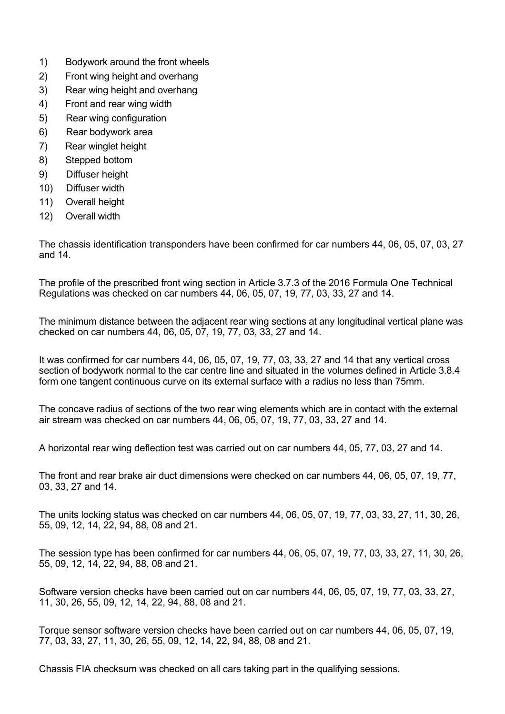- 1) Bodywork around the front wheels
- 2) Front wing height and overhang
- 3) Rear wing height and overhang
- 4) Front and rear wing width
- 5) Rear wing configuration
- 6) Rear bodywork area
- 7) Rear winglet height
- 8) Stepped bottom
- 9) Diffuser height
- 10) Diffuser width
- 11) Overall height
- 12) Overall width

The chassis identification transponders have been confirmed for car numbers 44, 06, 05, 07, 03, 27 and 14.

The profile of the prescribed front wing section in Article 3.7.3 of the 2016 Formula One Technical Regulations was checked on car numbers 44, 06, 05, 07, 19, 77, 03, 33, 27 and 14.

The minimum distance between the adjacent rear wing sections at any longitudinal vertical plane was checked on car numbers 44, 06, 05, 07, 19, 77, 03, 33, 27 and 14.

It was confirmed for car numbers 44, 06, 05, 07, 19, 77, 03, 33, 27 and 14 that any vertical cross section of bodywork normal to the car centre line and situated in the volumes defined in Article 3.8.4 form one tangent continuous curve on its external surface with a radius no less than 75mm.

The concave radius of sections of the two rear wing elements which are in contact with the external air stream was checked on car numbers 44, 06, 05, 07, 19, 77, 03, 33, 27 and 14.

A horizontal rear wing deflection test was carried out on car numbers 44, 05, 77, 03, 27 and 14.

The front and rear brake air duct dimensions were checked on car numbers 44, 06, 05, 07, 19, 77, 03, 33, 27 and 14.

The units locking status was checked on car numbers 44, 06, 05, 07, 19, 77, 03, 33, 27, 11, 30, 26, 55, 09, 12, 14, 22, 94, 88, 08 and 21.

The session type has been confirmed for car numbers 44, 06, 05, 07, 19, 77, 03, 33, 27, 11, 30, 26, 55, 09, 12, 14, 22, 94, 88, 08 and 21.

Software version checks have been carried out on car numbers 44, 06, 05, 07, 19, 77, 03, 33, 27, 11, 30, 26, 55, 09, 12, 14, 22, 94, 88, 08 and 21.

Torque sensor software version checks have been carried out on car numbers 44, 06, 05, 07, 19, 77, 03, 33, 27, 11, 30, 26, 55, 09, 12, 14, 22, 94, 88, 08 and 21.

Chassis FIA checksum was checked on all cars taking part in the qualifying sessions.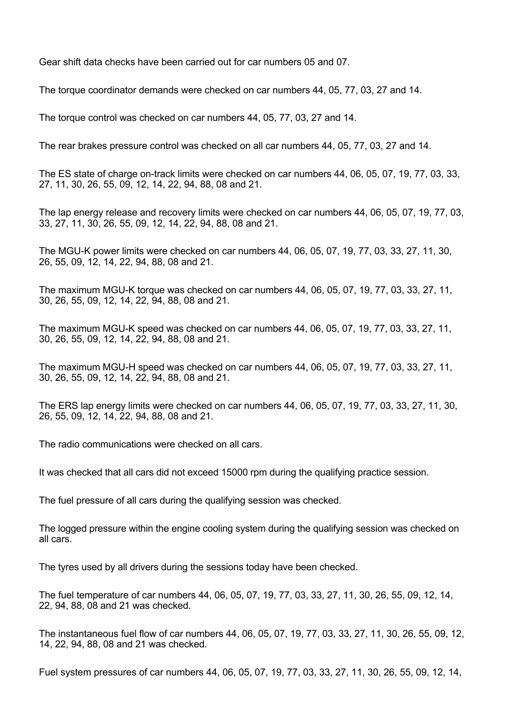Gear shift data checks have been carried out for car numbers 05 and 07.

The torque coordinator demands were checked on car numbers 44, 05, 77, 03, 27 and 14.

The torque control was checked on car numbers 44, 05, 77, 03, 27 and 14.

The rear brakes pressure control was checked on all car numbers 44, 05, 77, 03, 27 and 14.

The ES state of charge on-track limits were checked on car numbers 44, 06, 05, 07, 19, 77, 03, 33, 27, 11, 30, 26, 55, 09, 12, 14, 22, 94, 88, 08 and 21.

The lap energy release and recovery limits were checked on car numbers 44, 06, 05, 07, 19, 77, 03, 33, 27, 11, 30, 26, 55, 09, 12, 14, 22, 94, 88, 08 and 21.

The MGU-K power limits were checked on car numbers 44, 06, 05, 07, 19, 77, 03, 33, 27, 11, 30, 26, 55, 09, 12, 14, 22, 94, 88, 08 and 21.

The maximum MGU-K torque was checked on car numbers 44, 06, 05, 07, 19, 77, 03, 33, 27, 11, 30, 26, 55, 09, 12, 14, 22, 94, 88, 08 and 21.

The maximum MGU-K speed was checked on car numbers 44, 06, 05, 07, 19, 77, 03, 33, 27, 11, 30, 26, 55, 09, 12, 14, 22, 94, 88, 08 and 21.

The maximum MGU-H speed was checked on car numbers 44, 06, 05, 07, 19, 77, 03, 33, 27, 11, 30, 26, 55, 09, 12, 14, 22, 94, 88, 08 and 21.

The ERS lap energy limits were checked on car numbers 44, 06, 05, 07, 19, 77, 03, 33, 27, 11, 30, 26, 55, 09, 12, 14, 22, 94, 88, 08 and 21.

The radio communications were checked on all cars.

It was checked that all cars did not exceed 15000 rpm during the qualifying practice session.

The fuel pressure of all cars during the qualifying session was checked.

The logged pressure within the engine cooling system during the qualifying session was checked on all cars.

The tyres used by all drivers during the sessions today have been checked.

The fuel temperature of car numbers 44, 06, 05, 07, 19, 77, 03, 33, 27, 11, 30, 26, 55, 09, 12, 14, 22, 94, 88, 08 and 21 was checked.

The instantaneous fuel flow of car numbers 44, 06, 05, 07, 19, 77, 03, 33, 27, 11, 30, 26, 55, 09, 12, 14, 22, 94, 88, 08 and 21 was checked.

Fuel system pressures of car numbers 44, 06, 05, 07, 19, 77, 03, 33, 27, 11, 30, 26, 55, 09, 12, 14,